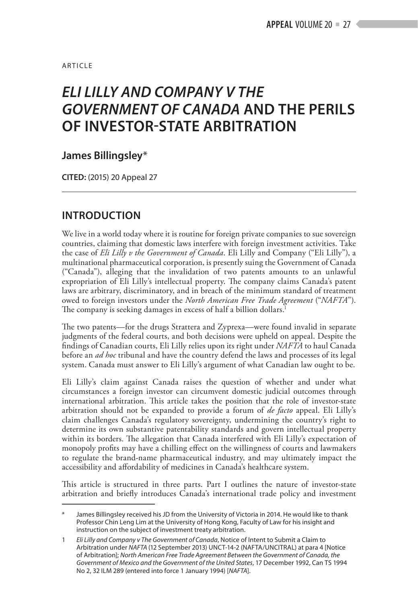**ARTICLE** 

# *ELI LILLY AND COMPANY V THE GOVERNMENT OF CANADA* **AND THE PERILS OF INVESTOR-STATE ARBITRATION**

## **James Billingsley**\*

**CITED:** (2015) 20 Appeal 27

## **INTRODUCTION**

We live in a world today where it is routine for foreign private companies to sue sovereign countries, claiming that domestic laws interfere with foreign investment activities. Take the case of *Eli Lilly v the Government of Canada*. Eli Lilly and Company ("Eli Lilly"), a multinational pharmaceutical corporation, is presently suing the Government of Canada ("Canada"), alleging that the invalidation of two patents amounts to an unlawful expropriation of Eli Lilly's intellectual property. The company claims Canada's patent laws are arbitrary, discriminatory, and in breach of the minimum standard of treatment owed to foreign investors under the *North American Free Trade Agreement* ("*NAFTA*"). The company is seeking damages in excess of half a billion dollars.<sup>1</sup>

The two patents—for the drugs Strattera and Zyprexa—were found invalid in separate judgments of the federal courts, and both decisions were upheld on appeal. Despite the findings of Canadian courts, Eli Lilly relies upon its right under *NAFTA* to haul Canada before an *ad hoc* tribunal and have the country defend the laws and processes of its legal system. Canada must answer to Eli Lilly's argument of what Canadian law ought to be.

Eli Lilly's claim against Canada raises the question of whether and under what circumstances a foreign investor can circumvent domestic judicial outcomes through international arbitration. This article takes the position that the role of investor-state arbitration should not be expanded to provide a forum of *de facto* appeal. Eli Lilly's claim challenges Canada's regulatory sovereignty, undermining the country's right to determine its own substantive patentability standards and govern intellectual property within its borders. The allegation that Canada interfered with Eli Lilly's expectation of monopoly profits may have a chilling effect on the willingness of courts and lawmakers to regulate the brand-name pharmaceutical industry, and may ultimately impact the accessibility and affordability of medicines in Canada's healthcare system.

This article is structured in three parts. Part I outlines the nature of investor-state arbitration and briefly introduces Canada's international trade policy and investment

James Billingsley received his JD from the University of Victoria in 2014. He would like to thank Professor Chin Leng Lim at the University of Hong Kong, Faculty of Law for his insight and instruction on the subject of investment treaty arbitration.

<sup>1</sup> *Eli Lilly and Company v The Government of Canada*, Notice of Intent to Submit a Claim to Arbitration under *NAFTA* (12 September 2013) UNCT-14-2 (NAFTA/UNCITRAL) at para 4 [Notice of Arbitration]; *North American Free Trade Agreement Between the Government of Canada, the Government of Mexico and the Government of the United States*, 17 December 1992, Can TS 1994 No 2, 32 ILM 289 (entered into force 1 January 1994) [*NAFTA*].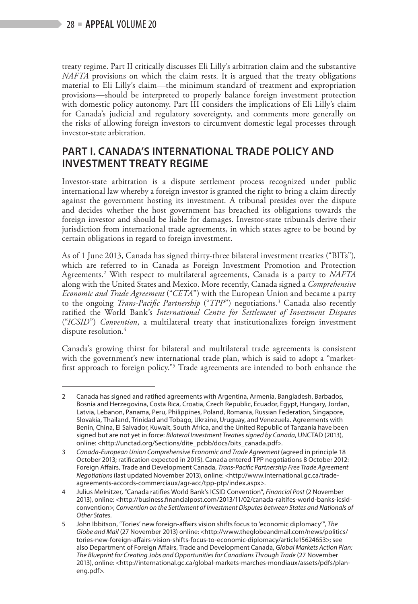treaty regime. Part II critically discusses Eli Lilly's arbitration claim and the substantive *NAFTA* provisions on which the claim rests. It is argued that the treaty obligations material to Eli Lilly's claim—the minimum standard of treatment and expropriation provisions—should be interpreted to properly balance foreign investment protection with domestic policy autonomy. Part III considers the implications of Eli Lilly's claim for Canada's judicial and regulatory sovereignty, and comments more generally on the risks of allowing foreign investors to circumvent domestic legal processes through investor-state arbitration.

# **PART I. CANADA'S INTERNATIONAL TRADE POLICY AND INVESTMENT TREATY REGIME**

Investor-state arbitration is a dispute settlement process recognized under public international law whereby a foreign investor is granted the right to bring a claim directly against the government hosting its investment. A tribunal presides over the dispute and decides whether the host government has breached its obligations towards the foreign investor and should be liable for damages. Investor-state tribunals derive their jurisdiction from international trade agreements, in which states agree to be bound by certain obligations in regard to foreign investment.

As of 1 June 2013, Canada has signed thirty-three bilateral investment treaties ("BITs"), which are referred to in Canada as Foreign Investment Promotion and Protection Agreements.2 With respect to multilateral agreements, Canada is a party to *NAFTA* along with the United States and Mexico. More recently, Canada signed a *Comprehensive Economic and Trade Agreement* ("*CETA*") with the European Union and became a party to the ongoing *Trans-Pacific Partnership* ("*TPP*") negotiations.<sup>3</sup> Canada also recently ratified the World Bank's *International Centre for Settlement of Investment Disputes* ("*ICSID*") *Convention*, a multilateral treaty that institutionalizes foreign investment dispute resolution.<sup>4</sup>

Canada's growing thirst for bilateral and multilateral trade agreements is consistent with the government's new international trade plan, which is said to adopt a "marketfirst approach to foreign policy."<sup>5</sup> Trade agreements are intended to both enhance the

<sup>2</sup> Canada has signed and ratified agreements with Argentina, Armenia, Bangladesh, Barbados, Bosnia and Herzegovina, Costa Rica, Croatia, Czech Republic, Ecuador, Egypt, Hungary, Jordan, Latvia, Lebanon, Panama, Peru, Philippines, Poland, Romania, Russian Federation, Singapore, Slovakia, Thailand, Trinidad and Tobago, Ukraine, Uruguay, and Venezuela. Agreements with Benin, China, El Salvador, Kuwait, South Africa, and the United Republic of Tanzania have been signed but are not yet in force: *Bilateral Investment Treaties signed by Canada*, UNCTAD (2013), online: <http://unctad.org/Sections/dite\_pcbb/docs/bits\_canada.pdf>.

<sup>3</sup> *Canada-European Union Comprehensive Economic and Trade Agreement* (agreed in principle 18 October 2013; ratification expected in 2015). Canada entered TPP negotiations 8 October 2012: Foreign Affairs, Trade and Development Canada, *Trans-Pacific Partnership Free Trade Agreement Negotiations* (last updated November 2013), online: <http://www.international.gc.ca/tradeagreements-accords-commerciaux/agr-acc/tpp-ptp/index.aspx>.

<sup>4</sup> Julius Melnitzer, "Canada ratifies World Bank's ICSID Convention", *Financial Post* (2 November 2013), online: <http://business.financialpost.com/2013/11/02/canada-raitifes-world-banks-icsidconvention>; *Convention on the Settlement of Investment Disputes between States and Nationals of Other States.*

<sup>5</sup> John Ibbitson, "Tories' new foreign-affairs vision shifts focus to 'economic diplomacy'", *The Globe and Mail* (27 November 2013) online: <http://www.theglobeandmail.com/news/politics/ tories-new-foreign-affairs-vision-shifts-focus-to-economic-diplomacy/article15624653>; see also Department of Foreign Affairs, Trade and Development Canada, *Global Markets Action Plan: The Blueprint for Creating Jobs and Opportunities for Canadians Through Trade* (27 November 2013), online: <http://international.gc.ca/global-markets-marches-mondiaux/assets/pdfs/planeng.pdf>.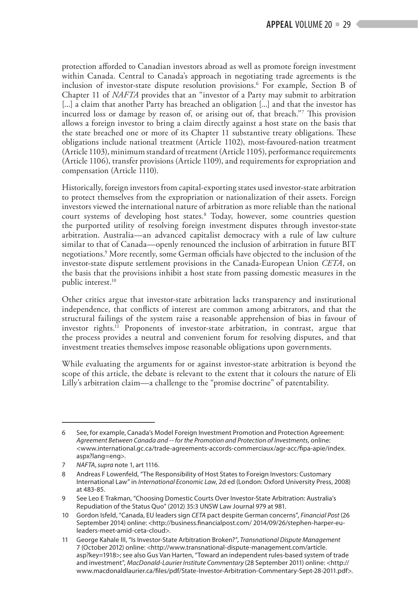protection afforded to Canadian investors abroad as well as promote foreign investment within Canada. Central to Canada's approach in negotiating trade agreements is the inclusion of investor-state dispute resolution provisions.<sup>6</sup> For example, Section B of Chapter 11 of *NAFTA* provides that an "investor of a Party may submit to arbitration [...] a claim that another Party has breached an obligation [...] and that the investor has incurred loss or damage by reason of, or arising out of, that breach."7 This provision allows a foreign investor to bring a claim directly against a host state on the basis that the state breached one or more of its Chapter 11 substantive treaty obligations. These obligations include national treatment (Article 1102), most-favoured-nation treatment (Article 1103), minimum standard of treatment (Article 1105), performance requirements (Article 1106), transfer provisions (Article 1109), and requirements for expropriation and compensation (Article 1110).

Historically, foreign investors from capital-exporting states used investor-state arbitration to protect themselves from the expropriation or nationalization of their assets. Foreign investors viewed the international nature of arbitration as more reliable than the national court systems of developing host states.8 Today, however, some countries question the purported utility of resolving foreign investment disputes through investor-state arbitration. Australia—an advanced capitalist democracy with a rule of law culture similar to that of Canada—openly renounced the inclusion of arbitration in future BIT negotiations.9 More recently, some German officials have objected to the inclusion of the investor-state dispute settlement provisions in the Canada-European Union *CETA*, on the basis that the provisions inhibit a host state from passing domestic measures in the public interest.<sup>10</sup>

Other critics argue that investor-state arbitration lacks transparency and institutional independence, that conflicts of interest are common among arbitrators, and that the structural failings of the system raise a reasonable apprehension of bias in favour of investor rights.11 Proponents of investor-state arbitration, in contrast, argue that the process provides a neutral and convenient forum for resolving disputes, and that investment treaties themselves impose reasonable obligations upon governments.

While evaluating the arguments for or against investor-state arbitration is beyond the scope of this article, the debate is relevant to the extent that it colours the nature of Eli Lilly's arbitration claim—a challenge to the "promise doctrine" of patentability.

<sup>6</sup> See, for example, Canada's Model Foreign Investment Promotion and Protection Agreement: *Agreement Between Canada and -- for the Promotion and Protection of Investments*, online: <www.international.gc.ca/trade-agreements-accords-commerciaux/agr-acc/fipa-apie/index. aspx?lang=eng>.

<sup>7</sup> *NAFTA*, *supra* note 1, art 1116.

<sup>8</sup> Andreas F Lowenfeld, "The Responsibility of Host States to Foreign Investors: Customary International Law" in *International Economic Law*, 2d ed (London: Oxford University Press, 2008) at 483-85.

<sup>9</sup> See Leo E Trakman, "Choosing Domestic Courts Over Investor-State Arbitration: Australia's Repudiation of the Status Quo" (2012) 35:3 UNSW Law Journal 979 at 981.

<sup>10</sup> Gordon Isfeld, "Canada, EU leaders sign *CETA* pact despite German concerns", *Financial Post* (26 September 2014) online: <http://business.financialpost.com/ 2014/09/26/stephen-harper-euleaders-meet-amid-ceta-cloud>.

<sup>11</sup> George Kahale III, "Is Investor-State Arbitration Broken?", *Transnational Dispute Management* 7 (October 2012) online: <http://www.transnational-dispute-management.com/article. asp?key=1918>; see also Gus Van Harten, "Toward an independent rules-based system of trade and investment", *MacDonald-Laurier Institute Commentary* (28 September 2011) online: <http:// www.macdonaldlaurier.ca/files/pdf/State-Investor-Arbitration-Commentary-Sept-28-2011.pdf>.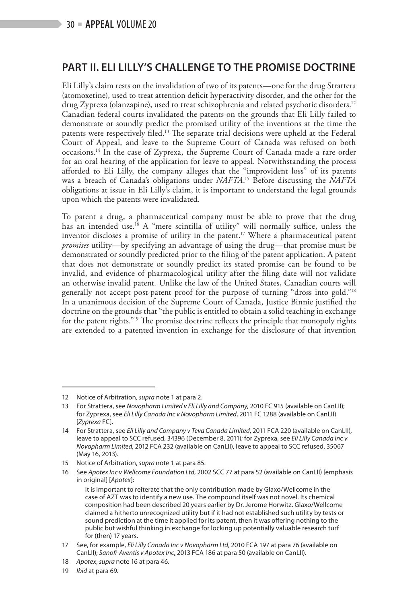# **PART II. ELI LILLY'S CHALLENGE TO THE PROMISE DOCTRINE**

Eli Lilly's claim rests on the invalidation of two of its patents—one for the drug Strattera (atomoxetine), used to treat attention deficit hyperactivity disorder, and the other for the drug Zyprexa (olanzapine), used to treat schizophrenia and related psychotic disorders.12 Canadian federal courts invalidated the patents on the grounds that Eli Lilly failed to demonstrate or soundly predict the promised utility of the inventions at the time the patents were respectively filed.<sup>13</sup> The separate trial decisions were upheld at the Federal Court of Appeal, and leave to the Supreme Court of Canada was refused on both occasions.14 In the case of Zyprexa, the Supreme Court of Canada made a rare order for an oral hearing of the application for leave to appeal. Notwithstanding the process afforded to Eli Lilly, the company alleges that the "improvident loss" of its patents was a breach of Canada's obligations under *NAFTA*. 15 Before discussing the *NAFTA* obligations at issue in Eli Lilly's claim, it is important to understand the legal grounds upon which the patents were invalidated.

To patent a drug, a pharmaceutical company must be able to prove that the drug has an intended use.<sup>16</sup> A "mere scintilla of utility" will normally suffice, unless the inventor discloses a promise of utility in the patent.<sup>17</sup> Where a pharmaceutical patent *promises* utility—by specifying an advantage of using the drug—that promise must be demonstrated or soundly predicted prior to the filing of the patent application. A patent that does not demonstrate or soundly predict its stated promise can be found to be invalid, and evidence of pharmacological utility after the filing date will not validate an otherwise invalid patent*.* Unlike the law of the United States, Canadian courts will generally not accept post-patent proof for the purpose of turning "dross into gold."18 In a unanimous decision of the Supreme Court of Canada, Justice Binnie justified the doctrine on the grounds that "the public is entitled to obtain a solid teaching in exchange for the patent rights."19 The promise doctrine reflects the principle that monopoly rights are extended to a patented invention in exchange for the disclosure of that invention

<sup>12</sup> Notice of Arbitration, *supra* note 1 at para 2.

<sup>13</sup> For Strattera, see *Novopharm Limited v Eli Lilly and Company*, 2010 FC 915 (available on CanLII); for Zyprexa, see *Eli Lilly Canada Inc v Novopharm Limited*, 2011 FC 1288 (available on CanLII) [*Zyprexa* FC].

<sup>14</sup> For Strattera, see *Eli Lilly and Company v Teva Canada Limited*, 2011 FCA 220 (available on CanLII), leave to appeal to SCC refused, 34396 (December 8, 2011); for Zyprexa, see *Eli Lilly Canada Inc v Novopharm Limited*, 2012 FCA 232 (available on CanLII), leave to appeal to SCC refused, 35067 (May 16, 2013).

<sup>15</sup> Notice of Arbitration, *supra* note 1 at para 85.

<sup>16</sup> See *Apotex Inc v Wellcome Foundation Ltd*, 2002 SCC 77 at para 52 (available on CanLII) [emphasis in original] [*Apotex*]:

It is important to reiterate that the only contribution made by Glaxo/Wellcome in the case of AZT was to identify a new use. The compound itself was not novel. Its chemical composition had been described 20 years earlier by Dr. Jerome Horwitz. Glaxo/Wellcome claimed a hitherto unrecognized utility but if it had not established such utility by tests or sound prediction at the time it applied for its patent, then it was offering nothing to the public but wishful thinking in exchange for locking up potentially valuable research turf for (then) 17 years.

<sup>17</sup> See, for example, *Eli Lilly Canada Inc v Novopharm Ltd*, 2010 FCA 197 at para 76 (available on CanLII); *Sanofi-Aventis v Apotex Inc*, 2013 FCA 186 at para 50 (available on CanLII).

<sup>18</sup> *Apotex*, *supra* note 16 at para 46.

<sup>19</sup> *Ibid* at para 69.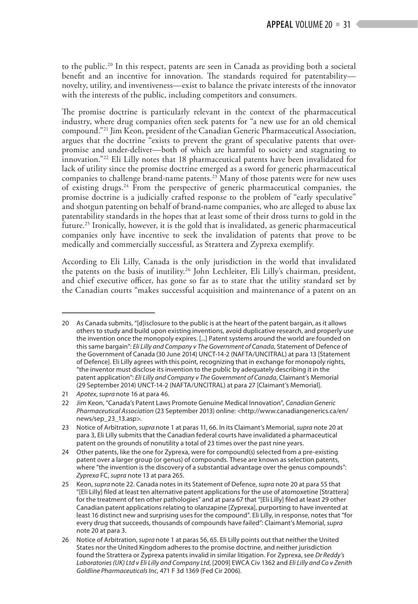to the public.<sup>20</sup> In this respect, patents are seen in Canada as providing both a societal benefit and an incentive for innovation. The standards required for patentability novelty, utility, and inventiveness—exist to balance the private interests of the innovator with the interests of the public, including competitors and consumers.

The promise doctrine is particularly relevant in the context of the pharmaceutical industry, where drug companies often seek patents for "a new use for an old chemical compound."21 Jim Keon, president of the Canadian Generic Pharmaceutical Association, argues that the doctrine "exists to prevent the grant of speculative patents that overpromise and under-deliver—both of which are harmful to society and stagnating to innovation."22 Eli Lilly notes that 18 pharmaceutical patents have been invalidated for lack of utility since the promise doctrine emerged as a sword for generic pharmaceutical companies to challenge brand-name patents.23 Many of those patents were for new uses of existing drugs.24 From the perspective of generic pharmaceutical companies, the promise doctrine is a judicially crafted response to the problem of "early speculative" and shotgun patenting on behalf of brand-name companies, who are alleged to abuse lax patentability standards in the hopes that at least some of their dross turns to gold in the future.25 Ironically, however, it is the gold that is invalidated, as generic pharmaceutical companies only have incentive to seek the invalidation of patents that prove to be medically and commercially successful, as Strattera and Zyprexa exemplify.

According to Eli Lilly, Canada is the only jurisdiction in the world that invalidated the patents on the basis of inutility.26 John Lechleiter, Eli Lilly's chairman, president, and chief executive officer, has gone so far as to state that the utility standard set by the Canadian courts "makes successful acquisition and maintenance of a patent on an

<sup>20</sup> As Canada submits, "[d]isclosure to the public is at the heart of the patent bargain, as it allows others to study and build upon existing inventions, avoid duplicative research, and properly use the invention once the monopoly expires. [...] Patent systems around the world are founded on this same bargain": *Eli Lilly and Company v The Government of Canada*, Statement of Defence of the Government of Canada (30 June 2014) UNCT-14-2 (NAFTA/UNCITRAL) at para 13 [Statement of Defence]. Eli Lilly agrees with this point, recognizing that in exchange for monopoly rights, "the inventor must disclose its invention to the public by adequately describing it in the patent application": *Eli Lilly and Company v The Government of Canada*, Claimant's Memorial (29 September 2014) UNCT-14-2 (NAFTA/UNCITRAL) at para 27 [Claimant's Memorial].

<sup>21</sup> *Apotex*, *supra* note 16 at para 46.

<sup>22</sup> Jim Keon, "Canada's Patent Laws Promote Genuine Medical Innovation", *Canadian Generic Pharmaceutical Association* (23 September 2013) online: <http://www.canadiangenerics.ca/en/ news/sep\_23\_13.asp>.

<sup>23</sup> Notice of Arbitration, *supra* note 1 at paras 11, 66. In its Claimant's Memorial, *supra* note 20 at para 3, Eli Lilly submits that the Canadian federal courts have invalidated a pharmaceutical patent on the grounds of nonutility a total of 23 times over the past nine years.

<sup>24</sup> Other patents, like the one for Zyprexa, were for compound(s) selected from a pre-existing patent over a larger group (or genus) of compounds. These are known as selection patents, where "the invention is the discovery of a substantial advantage over the genus compounds": *Zyprexa* FC, *supra* note 13 at para 265.

<sup>25</sup> Keon, *supra* note 22. Canada notes in its Statement of Defence, *supra* note 20 at para 55 that "[Eli Lilly] filed at least ten alternative patent applications for the use of atomoxetine [Strattera] for the treatment of ten other pathologies" and at para 67 that "[Eli Lilly] filed at least 29 other Canadian patent applications relating to olanzapine [Zyprexa], purporting to have invented at least 16 distinct new and surprising uses for the compound". Eli Lilly, in response, notes that "for every drug that succeeds, thousands of compounds have failed": Claimant's Memorial, *supra* note 20 at para 3.

<sup>26</sup> Notice of Arbitration, *supra* note 1 at paras 56, 65. Eli Lilly points out that neither the United States nor the United Kingdom adheres to the promise doctrine, and neither jurisdiction found the Strattera or Zyprexa patents invalid in similar litigation. For Zyprexa, see *Dr Reddy's Laboratories (UK) Ltd v Eli Lilly and Company Ltd*, [2009] EWCA Civ 1362 and *Eli Lilly and Co v Zenith Goldline Pharmaceuticals Inc*, 471 F 3d 1369 (Fed Cir 2006).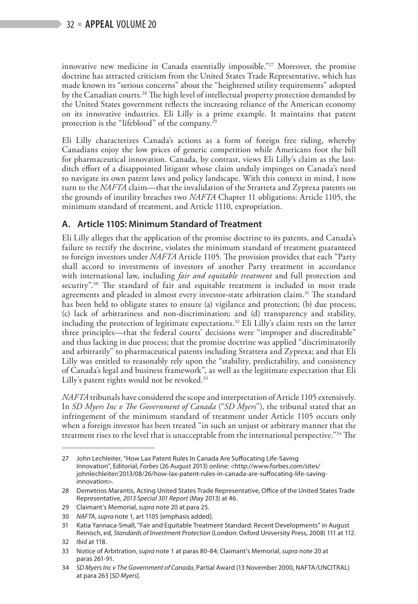innovative new medicine in Canada essentially impossible."27 Moreover, the promise doctrine has attracted criticism from the United States Trade Representative, which has made known its "serious concerns" about the "heightened utility requirements" adopted by the Canadian courts.<sup>28</sup> The high level of intellectual property protection demanded by the United States government reflects the increasing reliance of the American economy on its innovative industries. Eli Lilly is a prime example. It maintains that patent protection is the "lifeblood" of the company.29

Eli Lilly characterizes Canada's actions as a form of foreign free riding, whereby Canadians enjoy the low prices of generic competition while Americans foot the bill for pharmaceutical innovation. Canada, by contrast, views Eli Lilly's claim as the lastditch effort of a disappointed litigant whose claim unduly impinges on Canada's need to navigate its own patent laws and policy landscape. With this context in mind, I now turn to the *NAFTA* claim—that the invalidation of the Strattera and Zyprexa patents on the grounds of inutility breaches two *NAFTA* Chapter 11 obligations: Article 1105, the minimum standard of treatment, and Article 1110, expropriation.

#### **A. Article 1105: Minimum Standard of Treatment**

Eli Lilly alleges that the application of the promise doctrine to its patents, and Canada's failure to rectify the doctrine, violates the minimum standard of treatment guaranteed to foreign investors under *NAFTA* Article 1105. The provision provides that each "Party shall accord to investments of investors of another Party treatment in accordance with international law, including *fair and equitable treatment* and full protection and security".<sup>30</sup> The standard of fair and equitable treatment is included in most trade agreements and pleaded in almost every investor-state arbitration claim.<sup>31</sup> The standard has been held to obligate states to ensure (a) vigilance and protection; (b) due process; (c) lack of arbitrariness and non-discrimination; and (d) transparency and stability, including the protection of legitimate expectations.<sup>32</sup> Eli Lilly's claim rests on the latter three principles—that the federal courts' decisions were "improper and discreditable" and thus lacking in due process; that the promise doctrine was applied "discriminatorily and arbitrarily" to pharmaceutical patents including Strattera and Zyprexa; and that Eli Lilly was entitled to reasonably rely upon the "stability, predictability, and consistency of Canada's legal and business framework", as well as the legitimate expectation that Eli Lilly's patent rights would not be revoked.<sup>33</sup>

*NAFTA* tribunals have considered the scope and interpretation of Article 1105 extensively. In *SD Myers Inc v The Government of Canada* ("*SD Myers*"), the tribunal stated that an infringement of the minimum standard of treatment under Article 1105 occurs only when a foreign investor has been treated "in such an unjust or arbitrary manner that the treatment rises to the level that is unacceptable from the international perspective."<sup>34</sup> The

<sup>27</sup> John Lechleiter, "How Lax Patent Rules In Canada Are Suffocating Life-Saving Innovation", Editorial, *Forbes* (26 August 2013) online: <http://www.forbes.com/sites/ johnlechleiter/2013/08/26/how-lax-patent-rules-in-canada-are-suffocating-life-savinginnovation>.

<sup>28</sup> Demetrios Marantis, Acting United States Trade Representative, Office of the United States Trade Representative, *2013 Special 301 Report* (May 2013) at 46.

<sup>29</sup> Claimant's Memorial, *supra* note 20 at para 25.

<sup>30</sup> *NAFTA*, *supra* note 1, art 1105 [emphasis added].

<sup>31</sup> Katia Yannaca-Small, "Fair and Equitable Treatment Standard: Recent Developments" in August Reinisch, ed, *Standards of Investment Protection* (London: Oxford University Press, 2008) 111 at 112.

<sup>32</sup> *Ibid* at 118.

<sup>33</sup> Notice of Arbitration, *supra* note 1 at paras 80-84; Claimant's Memorial, *supra* note 20 at paras 261-91.

<sup>34</sup> *SD Myers Inc v The Government of Canada*, Partial Award (13 November 2000, NAFTA/UNCITRAL) at para 263 [*SD Myers*].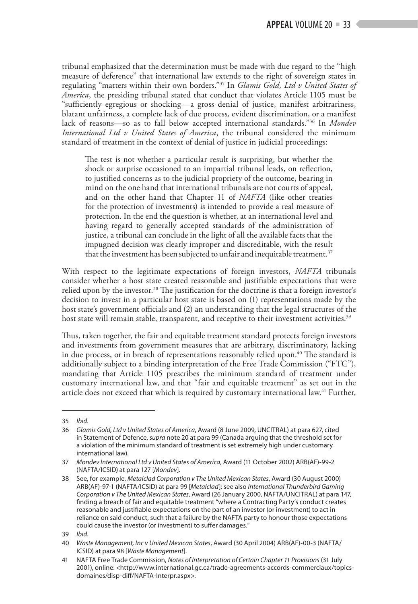tribunal emphasized that the determination must be made with due regard to the "high measure of deference" that international law extends to the right of sovereign states in regulating "matters within their own borders."35 In *Glamis Gold, Ltd v United States of America*, the presiding tribunal stated that conduct that violates Article 1105 must be "sufficiently egregious or shocking—a gross denial of justice, manifest arbitrariness, blatant unfairness, a complete lack of due process, evident discrimination, or a manifest lack of reasons—so as to fall below accepted international standards."36 In *Mondev International Ltd v United States of America*, the tribunal considered the minimum standard of treatment in the context of denial of justice in judicial proceedings:

The test is not whether a particular result is surprising, but whether the shock or surprise occasioned to an impartial tribunal leads, on reflection, to justified concerns as to the judicial propriety of the outcome, bearing in mind on the one hand that international tribunals are not courts of appeal, and on the other hand that Chapter 11 of *NAFTA* (like other treaties for the protection of investments) is intended to provide a real measure of protection. In the end the question is whether, at an international level and having regard to generally accepted standards of the administration of justice, a tribunal can conclude in the light of all the available facts that the impugned decision was clearly improper and discreditable, with the result that the investment has been subjected to unfair and inequitable treatment.<sup>37</sup>

With respect to the legitimate expectations of foreign investors, *NAFTA* tribunals consider whether a host state created reasonable and justifiable expectations that were relied upon by the investor.<sup>38</sup> The justification for the doctrine is that a foreign investor's decision to invest in a particular host state is based on (1) representations made by the host state's government officials and (2) an understanding that the legal structures of the host state will remain stable, transparent, and receptive to their investment activities.<sup>39</sup>

Thus, taken together, the fair and equitable treatment standard protects foreign investors and investments from government measures that are arbitrary, discriminatory, lacking in due process, or in breach of representations reasonably relied upon.<sup>40</sup> The standard is additionally subject to a binding interpretation of the Free Trade Commission ("FTC"), mandating that Article 1105 prescribes the minimum standard of treatment under customary international law, and that "fair and equitable treatment" as set out in the article does not exceed that which is required by customary international law.<sup>41</sup> Further,

<sup>35</sup> *Ibid*.

<sup>36</sup> *Glamis Gold, Ltd v United States of America*, Award (8 June 2009, UNCITRAL) at para 627, cited in Statement of Defence, *supra* note 20 at para 99 (Canada arguing that the threshold set for a violation of the minimum standard of treatment is set extremely high under customary international law).

<sup>37</sup> *Mondev International Ltd v United States of America*, Award (11 October 2002) ARB(AF)-99-2 (NAFTA/ICSID) at para 127 [*Mondev*].

<sup>38</sup> See, for example, *Metalclad Corporation v The United Mexican States*, Award (30 August 2000) ARB(AF)-97-1 (NAFTA/ICSID) at para 99 [*Metalclad*]; see also *International Thunderbird Gaming Corporation v The United Mexican States*, Award (26 January 2000, NAFTA/UNCITRAL) at para 147, finding a breach of fair and equitable treatment "where a Contracting Party's conduct creates reasonable and justifiable expectations on the part of an investor (or investment) to act in reliance on said conduct, such that a failure by the NAFTA party to honour those expectations could cause the investor (or investment) to suffer damages."

<sup>39</sup> *Ibid*.

<sup>40</sup> *Waste Management, Inc v United Mexican States*, Award (30 April 2004) ARB(AF)-00-3 (NAFTA/ ICSID) at para 98 [*Waste Management*].

<sup>41</sup> NAFTA Free Trade Commission, *Notes of Interpretation of Certain Chapter 11 Provisions* (31 July 2001), online: <http://www.international.gc.ca/trade-agreements-accords-commerciaux/topicsdomaines/disp-diff/NAFTA-Interpr.aspx>.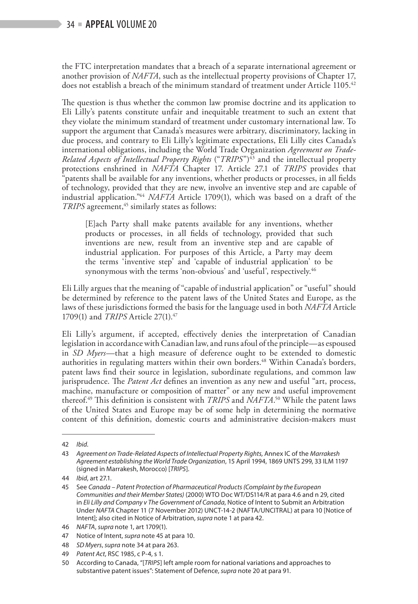the FTC interpretation mandates that a breach of a separate international agreement or another provision of *NAFTA*, such as the intellectual property provisions of Chapter 17, does not establish a breach of the minimum standard of treatment under Article 1105.<sup>42</sup>

The question is thus whether the common law promise doctrine and its application to Eli Lilly's patents constitute unfair and inequitable treatment to such an extent that they violate the minimum standard of treatment under customary international law. To support the argument that Canada's measures were arbitrary, discriminatory, lacking in due process, and contrary to Eli Lilly's legitimate expectations, Eli Lilly cites Canada's international obligations, including the World Trade Organization *Agreement on Trade-Related Aspects of Intellectual Property Rights* ("*TRIPS*")<sup>43</sup> and the intellectual property protections enshrined in *NAFTA* Chapter 17. Article 27.1 of *TRIPS* provides that "patents shall be available for any inventions, whether products or processes, in all fields of technology, provided that they are new, involve an inventive step and are capable of industrial application."44 *NAFTA* Article 1709(1), which was based on a draft of the *TRIPS* agreement,<sup>45</sup> similarly states as follows:

[E]ach Party shall make patents available for any inventions, whether products or processes, in all fields of technology, provided that such inventions are new, result from an inventive step and are capable of industrial application. For purposes of this Article, a Party may deem the terms 'inventive step' and 'capable of industrial application' to be synonymous with the terms 'non-obvious' and 'useful', respectively.<sup>46</sup>

Eli Lilly argues that the meaning of "capable of industrial application" or "useful" should be determined by reference to the patent laws of the United States and Europe, as the laws of these jurisdictions formed the basis for the language used in both *NAFTA* Article 1709(1) and *TRIPS* Article 27(1).47

Eli Lilly's argument, if accepted, effectively denies the interpretation of Canadian legislation in accordance with Canadian law, and runs afoul of the principle—as espoused in *SD Myers*—that a high measure of deference ought to be extended to domestic authorities in regulating matters within their own borders.<sup>48</sup> Within Canada's borders, patent laws find their source in legislation, subordinate regulations, and common law jurisprudence. The *Patent Act* defines an invention as any new and useful "art, process, machine, manufacture or composition of matter" or any new and useful improvement thereof.49 This definition is consistent with *TRIPS* and *NAFTA*. 50 While the patent laws of the United States and Europe may be of some help in determining the normative content of this definition, domestic courts and administrative decision-makers must

<sup>42</sup> *Ibid.*

<sup>43</sup> *Agreement on Trade-Related Aspects of Intellectual Property Rights,* Annex IC of the *Marrakesh Agreement establishing the World Trade Organization*, 15 April 1994, 1869 UNTS 299, 33 ILM 1197 (signed in Marrakesh, Morocco) [*TRIPS*]*.*

<sup>44</sup> *Ibid*, art 27.1.

<sup>45</sup> See *Canada – Patent Protection of Pharmaceutical Products (Complaint by the European Communities and their Member States)* (2000) WTO Doc WT/DS114/R at para 4.6 and n 29, cited in *Eli Lilly and Company v The Government of Canada*, Notice of Intent to Submit an Arbitration Under *NAFTA* Chapter 11 (7 November 2012) UNCT-14-2 (NAFTA/UNCITRAL) at para 10 [Notice of Intent]; also cited in Notice of Arbitration, *supra* note 1 at para 42.

<sup>46</sup> *NAFTA*, *supra* note 1, art 1709(1).

<sup>47</sup> Notice of Intent, *supra* note 45 at para 10.

<sup>48</sup> *SD Myers*, *supra* note 34 at para 263.

<sup>49</sup> *Patent Act*, RSC 1985, c P-4, s 1.

<sup>50</sup> According to Canada, "[*TRIPS*] left ample room for national variations and approaches to substantive patent issues": Statement of Defence, *supra* note 20 at para 91.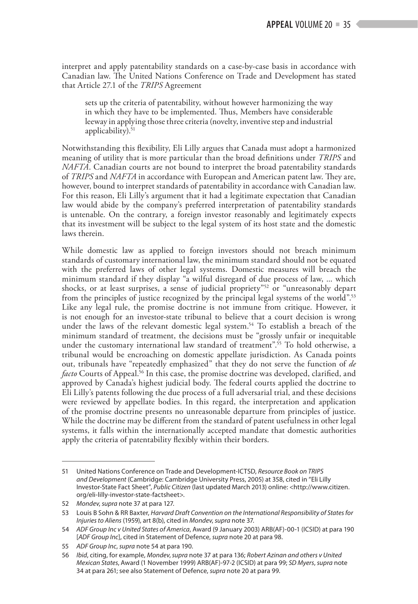interpret and apply patentability standards on a case-by-case basis in accordance with Canadian law. The United Nations Conference on Trade and Development has stated that Article 27.1 of the *TRIPS* Agreement

sets up the criteria of patentability, without however harmonizing the way in which they have to be implemented. Thus, Members have considerable leeway in applying those three criteria (novelty, inventive step and industrial applicability). $51$ 

Notwithstanding this flexibility, Eli Lilly argues that Canada must adopt a harmonized meaning of utility that is more particular than the broad definitions under *TRIPS* and *NAFTA*. Canadian courts are not bound to interpret the broad patentability standards of *TRIPS* and *NAFTA* in accordance with European and American patent law. They are, however, bound to interpret standards of patentability in accordance with Canadian law. For this reason, Eli Lilly's argument that it had a legitimate expectation that Canadian law would abide by the company's preferred interpretation of patentability standards is untenable. On the contrary, a foreign investor reasonably and legitimately expects that its investment will be subject to the legal system of its host state and the domestic laws therein.

While domestic law as applied to foreign investors should not breach minimum standards of customary international law, the minimum standard should not be equated with the preferred laws of other legal systems. Domestic measures will breach the minimum standard if they display "a wilful disregard of due process of law, ... which shocks, or at least surprises, a sense of judicial propriety"52 or "unreasonably depart from the principles of justice recognized by the principal legal systems of the world".<sup>53</sup> Like any legal rule, the promise doctrine is not immune from critique. However, it is not enough for an investor-state tribunal to believe that a court decision is wrong under the laws of the relevant domestic legal system.<sup>54</sup> To establish a breach of the minimum standard of treatment, the decisions must be "grossly unfair or inequitable under the customary international law standard of treatment".<sup>55</sup> To hold otherwise, a tribunal would be encroaching on domestic appellate jurisdiction. As Canada points out, tribunals have "repeatedly emphasized" that they do not serve the function of *de facto* Courts of Appeal.<sup>56</sup> In this case, the promise doctrine was developed, clarified, and approved by Canada's highest judicial body. The federal courts applied the doctrine to Eli Lilly's patents following the due process of a full adversarial trial, and these decisions were reviewed by appellate bodies. In this regard, the interpretation and application of the promise doctrine presents no unreasonable departure from principles of justice. While the doctrine may be different from the standard of patent usefulness in other legal systems, it falls within the internationally accepted mandate that domestic authorities apply the criteria of patentability flexibly within their borders.

<sup>51</sup> United Nations Conference on Trade and Development-ICTSD, *Resource Book on TRIPS and Development* (Cambridge: Cambridge University Press, 2005) at 358, cited in "Eli Lilly Investor-State Fact Sheet", *Public Citizen* (last updated March 2013) online: <http://www.citizen. org/eli-lilly-investor-state-factsheet>.

<sup>52</sup> *Mondev*, *supra* note 37 at para 127.

<sup>53</sup> Louis B Sohn & RR Baxter, *Harvard Draft Convention on the International Responsibility of States for Injuries to Aliens* (1959), art 8(b), cited in *Mondev*, *supra* note 37.

<sup>54</sup> *ADF Group Inc v United States of America*, Award (9 January 2003) ARB(AF)-00-1 (ICSID) at para 190 [*ADF Group Inc*], cited in Statement of Defence, *supra* note 20 at para 98.

<sup>55</sup> *ADF Group Inc*, *supra* note 54 at para 190.

<sup>56</sup> *Ibid*, citing, for example, *Mondev*, *supra* note 37 at para 136; *Robert Azinan and others v United Mexican States*, Award (1 November 1999) ARB(AF)-97-2 (ICSID) at para 99; *SD Myers*, *supra* note 34 at para 261; see also Statement of Defence, *supra* note 20 at para 99.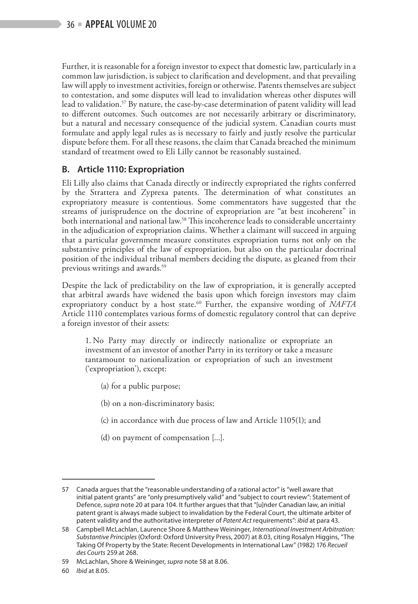Further, it is reasonable for a foreign investor to expect that domestic law, particularly in a common law jurisdiction, is subject to clarification and development, and that prevailing law will apply to investment activities, foreign or otherwise. Patents themselves are subject to contestation, and some disputes will lead to invalidation whereas other disputes will lead to validation.57 By nature, the case-by-case determination of patent validity will lead to different outcomes. Such outcomes are not necessarily arbitrary or discriminatory, but a natural and necessary consequence of the judicial system. Canadian courts must formulate and apply legal rules as is necessary to fairly and justly resolve the particular dispute before them. For all these reasons, the claim that Canada breached the minimum standard of treatment owed to Eli Lilly cannot be reasonably sustained.

#### **B. Article 1110: Expropriation**

Eli Lilly also claims that Canada directly or indirectly expropriated the rights conferred by the Strattera and Zyprexa patents. The determination of what constitutes an expropriatory measure is contentious. Some commentators have suggested that the streams of jurisprudence on the doctrine of expropriation are "at best incoherent" in both international and national law.<sup>58</sup> This incoherence leads to considerable uncertainty in the adjudication of expropriation claims. Whether a claimant will succeed in arguing that a particular government measure constitutes expropriation turns not only on the substantive principles of the law of expropriation, but also on the particular doctrinal position of the individual tribunal members deciding the dispute, as gleaned from their previous writings and awards.59

Despite the lack of predictability on the law of expropriation, it is generally accepted that arbitral awards have widened the basis upon which foreign investors may claim expropriatory conduct by a host state.<sup>60</sup> Further, the expansive wording of *NAFTA* Article 1110 contemplates various forms of domestic regulatory control that can deprive a foreign investor of their assets:

1. No Party may directly or indirectly nationalize or expropriate an investment of an investor of another Party in its territory or take a measure tantamount to nationalization or expropriation of such an investment ('expropriation'), except:

(a) for a public purpose;

(b) on a non-discriminatory basis;

(c) in accordance with due process of law and Article 1105(1); and

(d) on payment of compensation [...].

<sup>57</sup> Canada argues that the "reasonable understanding of a rational actor" is "well aware that initial patent grants" are "only presumptively valid" and "subject to court review": Statement of Defence, *supra* note 20 at para 104. It further argues that that "[u]nder Canadian law, an initial patent grant is always made subject to invalidation by the Federal Court, the ultimate arbiter of patent validity and the authoritative interpreter of *Patent Act* requirements": *ibid* at para 43.

<sup>58</sup> Campbell McLachlan, Laurence Shore & Matthew Weininger, *International Investment Arbitration: Substantive Principles* (Oxford: Oxford University Press, 2007) at 8.03, citing Rosalyn Higgins, "The Taking Of Property by the State: Recent Developments in International Law" (1982) 176 *Recueil des Courts* 259 at 268.

<sup>59</sup> McLachlan, Shore & Weininger, *supra* note 58 at 8.06.

<sup>60</sup> *Ibid* at 8.05.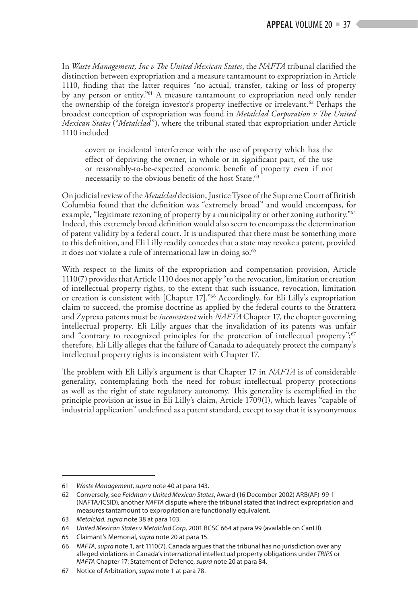In *Waste Management, Inc v The United Mexican States*, the *NAFTA* tribunal clarified the distinction between expropriation and a measure tantamount to expropriation in Article 1110, finding that the latter requires "no actual, transfer, taking or loss of property by any person or entity."61 A measure tantamount to expropriation need only render the ownership of the foreign investor's property ineffective or irrelevant.<sup>62</sup> Perhaps the broadest conception of expropriation was found in *Metalclad Corporation v The United Mexican States* ("*Metalclad*"), where the tribunal stated that expropriation under Article 1110 included

covert or incidental interference with the use of property which has the effect of depriving the owner, in whole or in significant part, of the use or reasonably-to-be-expected economic benefit of property even if not necessarily to the obvious benefit of the host State.<sup>63</sup>

On judicial review of the *Metalclad* decision, Justice Tysoe of the Supreme Court of British Columbia found that the definition was "extremely broad" and would encompass, for example, "legitimate rezoning of property by a municipality or other zoning authority."<sup>64</sup> Indeed, this extremely broad definition would also seem to encompass the determination of patent validity by a federal court. It is undisputed that there must be something more to this definition, and Eli Lilly readily concedes that a state may revoke a patent, provided it does not violate a rule of international law in doing so.<sup>65</sup>

With respect to the limits of the expropriation and compensation provision, Article 1110(7) provides that Article 1110 does not apply "to the revocation, limitation or creation of intellectual property rights, to the extent that such issuance, revocation, limitation or creation is consistent with [Chapter 17]."66 Accordingly, for Eli Lilly's expropriation claim to succeed, the promise doctrine as applied by the federal courts to the Strattera and Zyprexa patents must be *inconsistent* with *NAFTA* Chapter 17, the chapter governing intellectual property. Eli Lilly argues that the invalidation of its patents was unfair and "contrary to recognized principles for the protection of intellectual property"; $67$ therefore, Eli Lilly alleges that the failure of Canada to adequately protect the company's intellectual property rights is inconsistent with Chapter 17.

The problem with Eli Lilly's argument is that Chapter 17 in *NAFTA* is of considerable generality, contemplating both the need for robust intellectual property protections as well as the right of state regulatory autonomy. This generality is exemplified in the principle provision at issue in Eli Lilly's claim, Article 1709(1), which leaves "capable of industrial application" undefined as a patent standard, except to say that it is synonymous

<sup>61</sup> *Waste Management*, *supra* note 40 at para 143.

<sup>62</sup> Conversely, see *Feldman v United Mexican States*, Award (16 December 2002) ARB(AF)-99-1 (NAFTA/ICSID), another *NAFTA* dispute where the tribunal stated that indirect expropriation and measures tantamount to expropriation are functionally equivalent.

<sup>63</sup> *Metalclad*, *supra* note 38 at para 103.

<sup>64</sup> *United Mexican States v Metalclad Corp*, 2001 BCSC 664 at para 99 (available on CanLII).

<sup>65</sup> Claimant's Memorial, *supra* note 20 at para 15.

<sup>66</sup> *NAFTA*, *supra* note 1, art 1110(7). Canada argues that the tribunal has no jurisdiction over any alleged violations in Canada's international intellectual property obligations under *TRIPS* or *NAFTA* Chapter 17: Statement of Defence, *supra* note 20 at para 84.

<sup>67</sup> Notice of Arbitration, *supra* note 1 at para 78.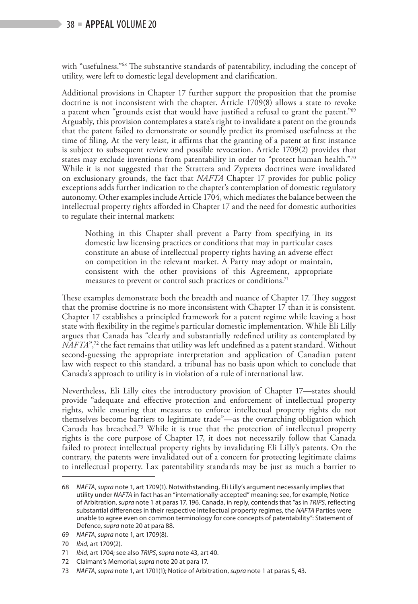#### $38$  = **APPEAL** VOLUME 20

with "usefulness."<sup>68</sup> The substantive standards of patentability, including the concept of utility, were left to domestic legal development and clarification.

Additional provisions in Chapter 17 further support the proposition that the promise doctrine is not inconsistent with the chapter. Article 1709(8) allows a state to revoke a patent when "grounds exist that would have justified a refusal to grant the patent."<sup>69</sup> Arguably, this provision contemplates a state's right to invalidate a patent on the grounds that the patent failed to demonstrate or soundly predict its promised usefulness at the time of filing. At the very least, it affirms that the granting of a patent at first instance is subject to subsequent review and possible revocation. Article 1709(2) provides that states may exclude inventions from patentability in order to "protect human health."70 While it is not suggested that the Strattera and Zyprexa doctrines were invalidated on exclusionary grounds, the fact that *NAFTA* Chapter 17 provides for public policy exceptions adds further indication to the chapter's contemplation of domestic regulatory autonomy. Other examples include Article 1704, which mediates the balance between the intellectual property rights afforded in Chapter 17 and the need for domestic authorities to regulate their internal markets:

Nothing in this Chapter shall prevent a Party from specifying in its domestic law licensing practices or conditions that may in particular cases constitute an abuse of intellectual property rights having an adverse effect on competition in the relevant market. A Party may adopt or maintain, consistent with the other provisions of this Agreement, appropriate measures to prevent or control such practices or conditions.<sup>71</sup>

These examples demonstrate both the breadth and nuance of Chapter 17. They suggest that the promise doctrine is no more inconsistent with Chapter 17 than it is consistent. Chapter 17 establishes a principled framework for a patent regime while leaving a host state with flexibility in the regime's particular domestic implementation. While Eli Lilly argues that Canada has "clearly and substantially redefined utility as contemplated by *NAFTA*",<sup>72</sup> the fact remains that utility was left undefined as a patent standard. Without second-guessing the appropriate interpretation and application of Canadian patent law with respect to this standard, a tribunal has no basis upon which to conclude that Canada's approach to utility is in violation of a rule of international law.

Nevertheless, Eli Lilly cites the introductory provision of Chapter 17—states should provide "adequate and effective protection and enforcement of intellectual property rights, while ensuring that measures to enforce intellectual property rights do not themselves become barriers to legitimate trade"—as the overarching obligation which Canada has breached.<sup>73</sup> While it is true that the protection of intellectual property rights is the core purpose of Chapter 17, it does not necessarily follow that Canada failed to protect intellectual property rights by invalidating Eli Lilly's patents. On the contrary, the patents were invalidated out of a concern for protecting legitimate claims to intellectual property. Lax patentability standards may be just as much a barrier to

<sup>68</sup> *NAFTA*, *supra* note 1, art 1709(1). Notwithstanding, Eli Lilly's argument necessarily implies that utility under *NAFTA* in fact has an "internationally-accepted" meaning: see, for example, Notice of Arbitration, *supra* note 1 at paras 17, 196. Canada, in reply, contends that "as in *TRIPS*, reflecting substantial differences in their respective intellectual property regimes, the *NAFTA* Parties were unable to agree even on common terminology for core concepts of patentability": Statement of Defence, *supra* note 20 at para 88.

<sup>69</sup> *NAFTA*, *supra* note 1, art 1709(8).

<sup>70</sup> *Ibid,* art 1709(2).

<sup>71</sup> *Ibid,* art 1704; see also *TRIPS*, *supra* note 43, art 40.

<sup>72</sup> Claimant's Memorial, *supra* note 20 at para 17.

<sup>73</sup> *NAFTA*, *supra* note 1, art 1701(1); Notice of Arbitration, *supra* note 1 at paras 5, 43.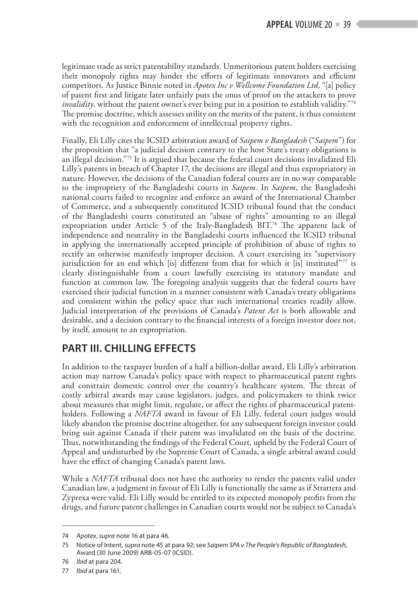legitimate trade as strict patentability standards. Unmeritorious patent holders exercising their monopoly rights may hinder the efforts of legitimate innovators and efficient competitors. As Justice Binnie noted in *Apotex Inc v Wellcome Foundation Ltd*, "[a] policy of patent first and litigate later unfairly puts the onus of proof on the attackers to prove *invalidity*, without the patent owner's ever being put in a position to establish validity."<sup>74</sup> The promise doctrine, which assesses utility on the merits of the patent, is thus consistent with the recognition and enforcement of intellectual property rights.

Finally, Eli Lilly cites the ICSID arbitration award of *Saipem v Bangladesh* ("*Saipem*") for the proposition that "a judicial decision contrary to the host State's treaty obligations is an illegal decision."75 It is argued that because the federal court decisions invalidated Eli Lilly's patents in breach of Chapter 17, the decisions are illegal and thus expropriatory in nature. However, the decisions of the Canadian federal courts are in no way comparable to the impropriety of the Bangladeshi courts in *Saipem*. In *Saipem*, the Bangladeshi national courts failed to recognize and enforce an award of the International Chamber of Commerce, and a subsequently constituted ICSID tribunal found that the conduct of the Bangladeshi courts constituted an "abuse of rights" amounting to an illegal expropriation under Article 5 of the Italy-Bangladesh BIT.<sup>76</sup> The apparent lack of independence and neutrality in the Bangladeshi courts influenced the ICSID tribunal in applying the internationally accepted principle of prohibition of abuse of rights to rectify an otherwise manifestly improper decision. A court exercising its "supervisory jurisdiction for an end which [is] different from that for which it [is] instituted"77 is clearly distinguishable from a court lawfully exercising its statutory mandate and function at common law. The foregoing analysis suggests that the federal courts have exercised their judicial function in a manner consistent with Canada's treaty obligations and consistent within the policy space that such international treaties readily allow. Judicial interpretation of the provisions of Canada's *Patent Act* is both allowable and desirable, and a decision contrary to the financial interests of a foreign investor does not, by itself, amount to an expropriation.

# **PART III. CHILLING EFFECTS**

In addition to the taxpayer burden of a half a billion-dollar award, Eli Lilly's arbitration action may narrow Canada's policy space with respect to pharmaceutical patent rights and constrain domestic control over the country's healthcare system. The threat of costly arbitral awards may cause legislators, judges, and policymakers to think twice about measures that might limit, regulate, or affect the rights of pharmaceutical patentholders. Following a *NAFTA* award in favour of Eli Lilly, federal court judges would likely abandon the promise doctrine altogether, for any subsequent foreign investor could bring suit against Canada if their patent was invalidated on the basis of the doctrine. Thus, notwithstanding the findings of the Federal Court, upheld by the Federal Court of Appeal and undisturbed by the Supreme Court of Canada, a single arbitral award could have the effect of changing Canada's patent laws.

While a *NAFTA* tribunal does not have the authority to render the patents valid under Canadian law, a judgment in favour of Eli Lilly is functionally the same as if Strattera and Zyprexa were valid. Eli Lilly would be entitled to its expected monopoly profits from the drugs, and future patent challenges in Canadian courts would not be subject to Canada's

<sup>74</sup> *Apotex*, *supra* note 16 at para 46.

<sup>75</sup> Notice of Intent, *supra* note 45 at para 92; see *Saipem SPA v The People's Republic of Bangladesh*, Award (30 June 2009) ARB-05-07 (ICSID).

<sup>76</sup> *Ibid* at para 204.

<sup>77</sup> *Ibid* at para 161.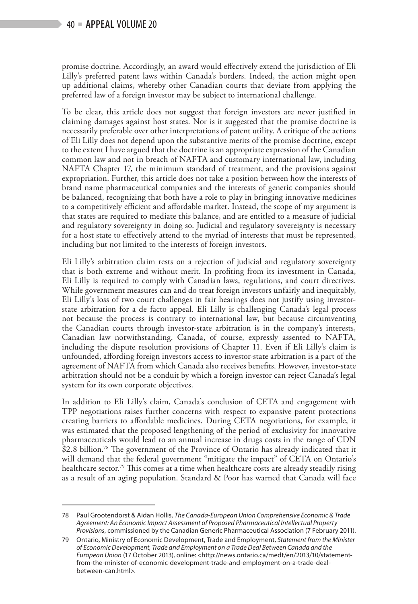promise doctrine. Accordingly, an award would effectively extend the jurisdiction of Eli Lilly's preferred patent laws within Canada's borders. Indeed, the action might open up additional claims, whereby other Canadian courts that deviate from applying the preferred law of a foreign investor may be subject to international challenge.

To be clear, this article does not suggest that foreign investors are never justified in claiming damages against host states. Nor is it suggested that the promise doctrine is necessarily preferable over other interpretations of patent utility. A critique of the actions of Eli Lilly does not depend upon the substantive merits of the promise doctrine, except to the extent I have argued that the doctrine is an appropriate expression of the Canadian common law and not in breach of NAFTA and customary international law, including NAFTA Chapter 17, the minimum standard of treatment, and the provisions against expropriation. Further, this article does not take a position between how the interests of brand name pharmaceutical companies and the interests of generic companies should be balanced, recognizing that both have a role to play in bringing innovative medicines to a competitively efficient and affordable market. Instead, the scope of my argument is that states are required to mediate this balance, and are entitled to a measure of judicial and regulatory sovereignty in doing so. Judicial and regulatory sovereignty is necessary for a host state to effectively attend to the myriad of interests that must be represented, including but not limited to the interests of foreign investors.

Eli Lilly's arbitration claim rests on a rejection of judicial and regulatory sovereignty that is both extreme and without merit. In profiting from its investment in Canada, Eli Lilly is required to comply with Canadian laws, regulations, and court directives. While government measures can and do treat foreign investors unfairly and inequitably, Eli Lilly's loss of two court challenges in fair hearings does not justify using investorstate arbitration for a de facto appeal. Eli Lilly is challenging Canada's legal process not because the process is contrary to international law, but because circumventing the Canadian courts through investor-state arbitration is in the company's interests, Canadian law notwithstanding. Canada, of course, expressly assented to NAFTA, including the dispute resolution provisions of Chapter 11. Even if Eli Lilly's claim is unfounded, affording foreign investors access to investor-state arbitration is a part of the agreement of NAFTA from which Canada also receives benefits. However, investor-state arbitration should not be a conduit by which a foreign investor can reject Canada's legal system for its own corporate objectives.

In addition to Eli Lilly's claim, Canada's conclusion of CETA and engagement with TPP negotiations raises further concerns with respect to expansive patent protections creating barriers to affordable medicines. During CETA negotiations, for example, it was estimated that the proposed lengthening of the period of exclusivity for innovative pharmaceuticals would lead to an annual increase in drugs costs in the range of CDN \$2.8 billion.<sup>78</sup> The government of the Province of Ontario has already indicated that it will demand that the federal government "mitigate the impact" of CETA on Ontario's healthcare sector.79 This comes at a time when healthcare costs are already steadily rising as a result of an aging population. Standard & Poor has warned that Canada will face

<sup>78</sup> Paul Grootendorst & Aidan Hollis, *The Canada-European Union Comprehensive Economic & Trade Agreement: An Economic Impact Assessment of Proposed Pharmaceutical Intellectual Property Provisions*, commissioned by the Canadian Generic Pharmaceutical Association (7 February 2011).

<sup>79</sup> Ontario, Ministry of Economic Development, Trade and Employment, *Statement from the Minister of Economic Development, Trade and Employment on a Trade Deal Between Canada and the European Union* (17 October 2013), online: <http://news.ontario.ca/medt/en/2013/10/statementfrom-the-minister-of-economic-development-trade-and-employment-on-a-trade-dealbetween-can.html>.